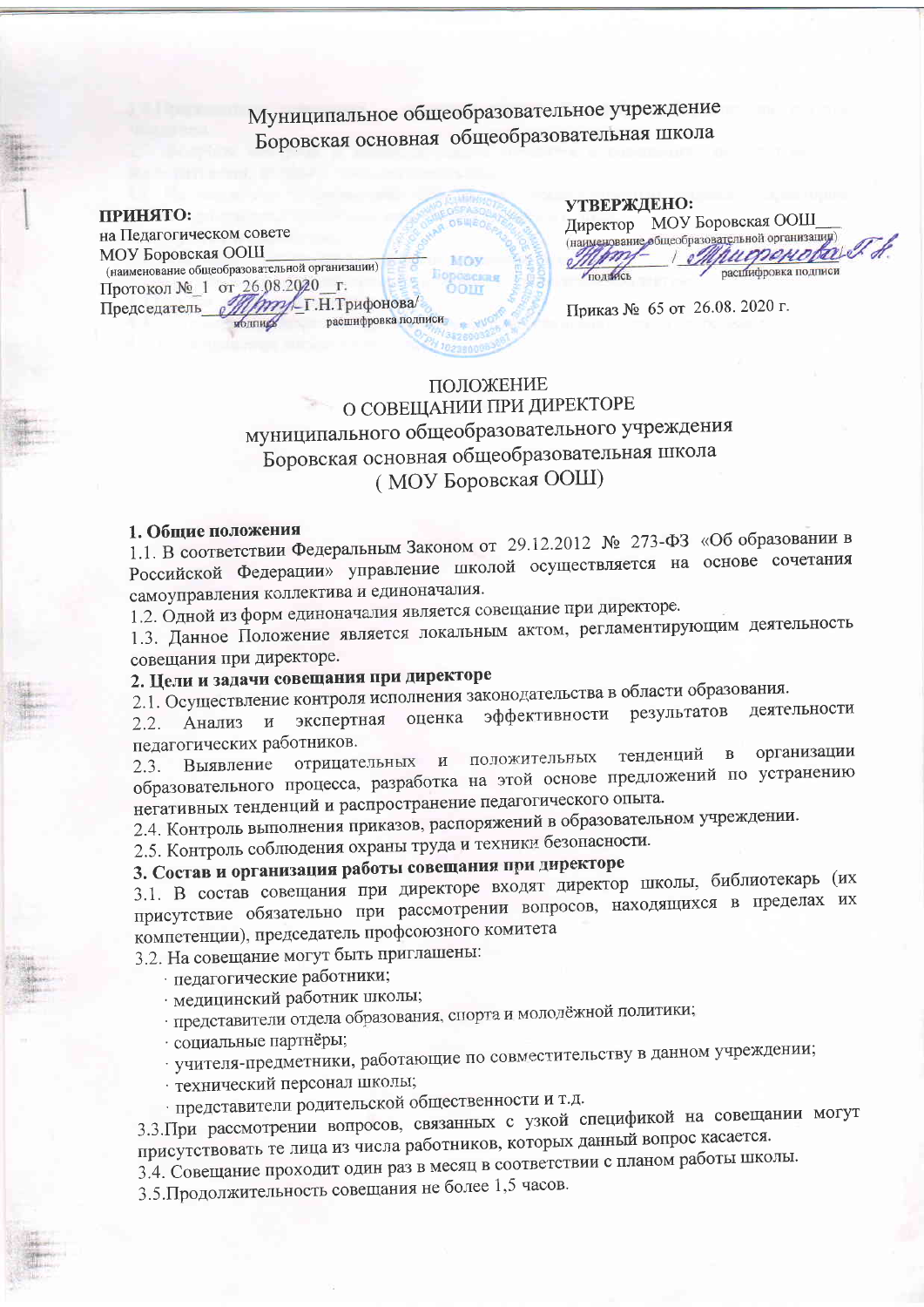Муниципальное общеобразовательное учреждение Боровская основная общеобразовательная школа

принято: на Педагогическом совете МОУ Боровская ООШ (наименование общеобразовательной организации) Протокол № 1 от 26.08.2020 г.<br>Председатель *[///////////-*Г.Н.Трифонова/ Председатель расшифровка подписи подпиру

| УТВЕРЖДЕНО: |                                                |
|-------------|------------------------------------------------|
|             | Директор МОУ Боровская ООШ                     |
|             | (наименование общеобразовательной организации) |
|             | Mhugrenobal &                                  |
|             | распифровка подписи                            |

Приказ № 65 от 26.08. 2020 г.

## ПОЛОЖЕНИЕ О СОВЕЩАНИИ ПРИ ДИРЕКТОРЕ муниципального общеобразовательного учреждения Боровская основная общеобразовательная школа (МОУ Боровская ООШ)

#### 1. Общие положения

1.1. В соответствии Федеральным Законом от 29.12.2012 № 273-ФЗ «Об образовании в Российской Федерации» управление школой осуществляется на основе сочетания самоуправления коллектива и единоначалия.

1.2. Одной из форм единоначалия является совещание при директоре.

1.3. Данное Положение является локальным актом, регламентирующим деятельность совещания при директоре.

# 2. Цели и задачи совещания при директоре

2.1. Осуществление контроля исполнения законодательства в области образования.

эффективности результатов деятельности экспертная оценка **Анализ**  $\,$  M  $\,$  $2.2.$ педагогических работников.

и положительных тенденций организации  $\mathbf B$ отрицательных Выявление  $2.3.$ образовательного процесса, разработка на этой основе предложений по устранению негативных тенденций и распространение педагогического опыта.

2.4. Контроль выполнения приказов, распоряжений в образовательном учреждении.

2.5. Контроль соблюдения охраны труда и техники безопасности.

# 3. Состав и организация работы совещания при директоре

3.1. В состав совещания при директоре входят директор школы, библиотекарь (их присутствие обязательно при рассмотрении вопросов, находящихся в пределах их компетенции), председатель профсоюзного комитета

3.2. На совещание могут быть приглашены:

педагогические работники;

· медицинский работник школы;

представители отдела образования, спорта и молодёжной политики;

· социальные партнёры;

· учителя-предметники, работающие по совместительству в данном учреждении;

· технический персонал школы;

представители родительской общественности и т.д.

3.3. При рассмотрении вопросов, связанных с узкой спецификой на совещании могут присутствовать те лица из числа работников, которых данный вопрос касается.

3.4. Совещание проходит один раз в месяц в соответствии с планом работы школы.

3.5. Продолжительность совещания не более 1,5 часов.